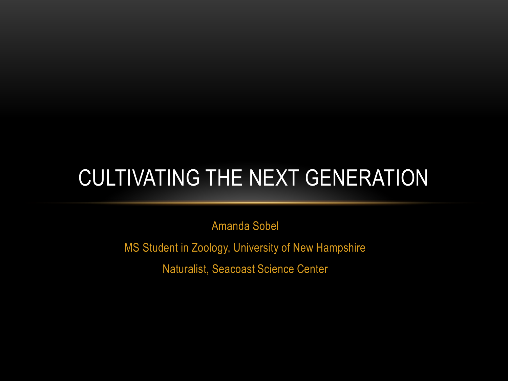# CULTIVATING THE NEXT GENERATION

Amanda Sobel MS Student in Zoology, University of New Hampshire Naturalist, Seacoast Science Center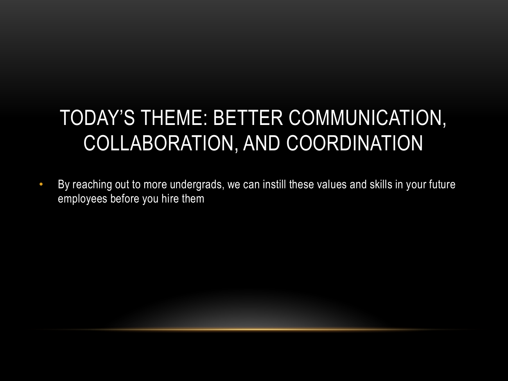## TODAY'S THEME: BETTER COMMUNICATION, COLLABORATION, AND COORDINATION

• By reaching out to more undergrads, we can instill these values and skills in your future employees before you hire them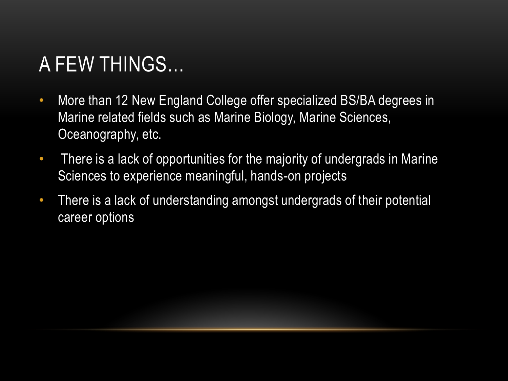### A FEW THINGS…

- More than 12 New England College offer specialized BS/BA degrees in Marine related fields such as Marine Biology, Marine Sciences, Oceanography, etc.
- There is a lack of opportunities for the majority of undergrads in Marine Sciences to experience meaningful, hands-on projects
- There is a lack of understanding amongst undergrads of their potential career options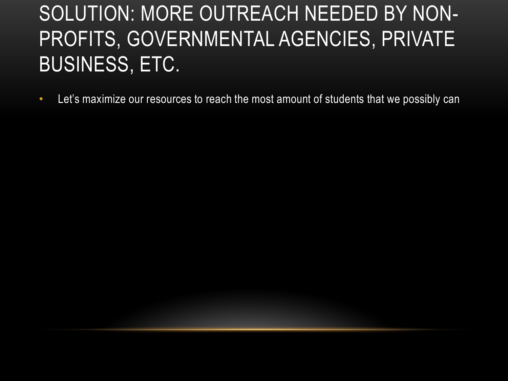# SOLUTION: MORE OUTREACH NEEDED BY NON-PROFITS, GOVERNMENTAL AGENCIES, PRIVATE BUSINESS, ETC.

• Let's maximize our resources to reach the most amount of students that we possibly can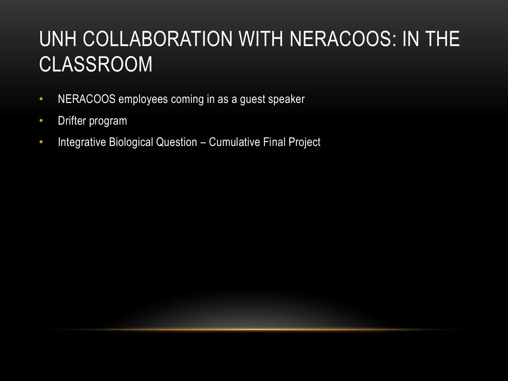## UNH COLLABORATION WITH NERACOOS: IN THE CLASSROOM

- NERACOOS employees coming in as a guest speaker
- Drifter program
- Integrative Biological Question Cumulative Final Project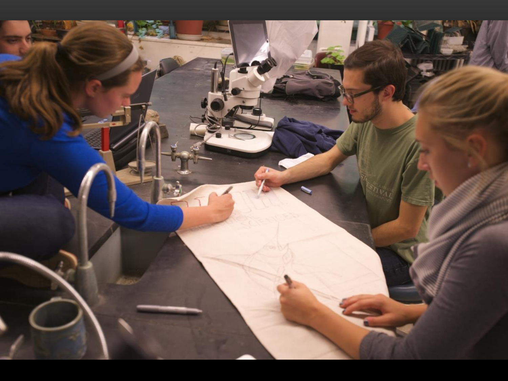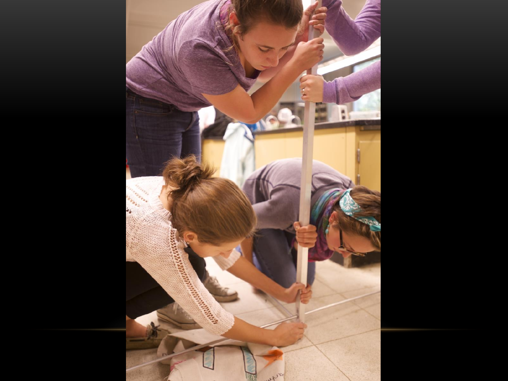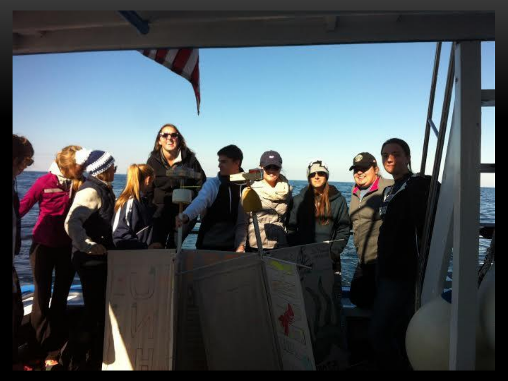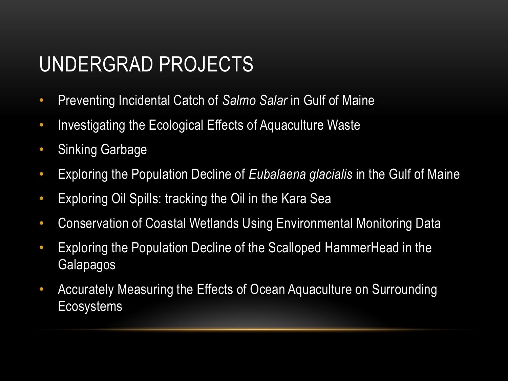#### UNDERGRAD PROJECTS

- Preventing Incidental Catch of *Salmo Salar* in Gulf of Maine
- Investigating the Ecological Effects of Aquaculture Waste
- Sinking Garbage
- Exploring the Population Decline of *Eubalaena glacialis* in the Gulf of Maine
- Exploring Oil Spills: tracking the Oil in the Kara Sea
- Conservation of Coastal Wetlands Using Environmental Monitoring Data
- Exploring the Population Decline of the Scalloped HammerHead in the **Galapagos**
- Accurately Measuring the Effects of Ocean Aquaculture on Surrounding **Ecosystems**